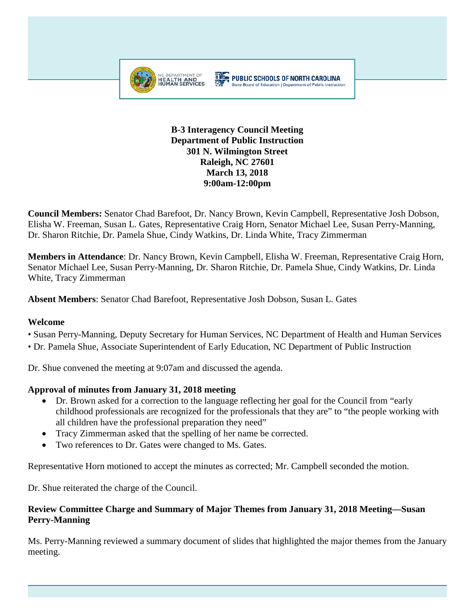

#### **THE PUBLIC SCHOOLS OF NORTH CAROLINA** State Board of Education | Department of Public Instruction

#### **B-3 Interagency Council Meeting Department of Public Instruction 301 N. Wilmington Street Raleigh, NC 27601 March 13, 2018 9:00am-12:00pm**

**Council Members:** Senator Chad Barefoot, Dr. Nancy Brown, Kevin Campbell, Representative Josh Dobson, Elisha W. Freeman, Susan L. Gates, Representative Craig Horn, Senator Michael Lee, Susan Perry-Manning, Dr. Sharon Ritchie, Dr. Pamela Shue, Cindy Watkins, Dr. Linda White, Tracy Zimmerman

**Members in Attendance**: Dr. Nancy Brown, Kevin Campbell, Elisha W. Freeman, Representative Craig Horn, Senator Michael Lee, Susan Perry-Manning, Dr. Sharon Ritchie, Dr. Pamela Shue, Cindy Watkins, Dr. Linda White, Tracy Zimmerman

**Absent Members**: Senator Chad Barefoot, Representative Josh Dobson, Susan L. Gates

## **Welcome**

• Susan Perry-Manning, Deputy Secretary for Human Services, NC Department of Health and Human Services

• Dr. Pamela Shue, Associate Superintendent of Early Education, NC Department of Public Instruction

Dr. Shue convened the meeting at 9:07am and discussed the agenda.

## **Approval of minutes from January 31, 2018 meeting**

- Dr. Brown asked for a correction to the language reflecting her goal for the Council from "early childhood professionals are recognized for the professionals that they are" to "the people working with all children have the professional preparation they need"
- Tracy Zimmerman asked that the spelling of her name be corrected.
- Two references to Dr. Gates were changed to Ms. Gates.

Representative Horn motioned to accept the minutes as corrected; Mr. Campbell seconded the motion.

Dr. Shue reiterated the charge of the Council.

## **Review Committee Charge and Summary of Major Themes from January 31, 2018 Meeting—Susan Perry-Manning**

Ms. Perry-Manning reviewed a summary document of slides that highlighted the major themes from the January meeting.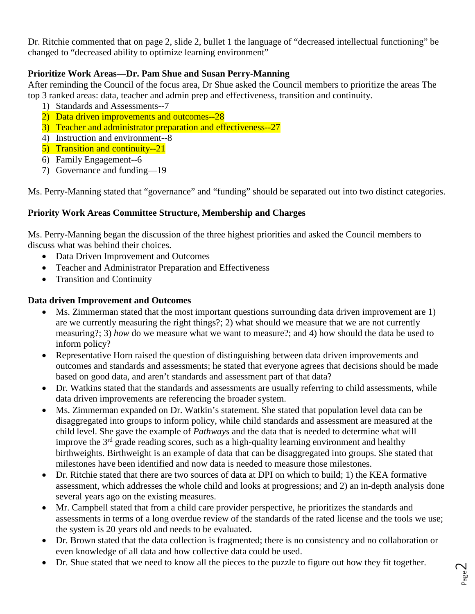Dr. Ritchie commented that on page 2, slide 2, bullet 1 the language of "decreased intellectual functioning" be changed to "decreased ability to optimize learning environment"

# **Prioritize Work Areas—Dr. Pam Shue and Susan Perry-Manning**

After reminding the Council of the focus area, Dr Shue asked the Council members to prioritize the areas The top 3 ranked areas: data, teacher and admin prep and effectiveness, transition and continuity.

- 1) Standards and Assessments--7
- 2) Data driven improvements and outcomes--28
- 3) Teacher and administrator preparation and effectiveness--27
- 4) Instruction and environment--8
- 5) Transition and continuity--21
- 6) Family Engagement--6
- 7) Governance and funding—19

Ms. Perry-Manning stated that "governance" and "funding" should be separated out into two distinct categories.

# **Priority Work Areas Committee Structure, Membership and Charges**

Ms. Perry-Manning began the discussion of the three highest priorities and asked the Council members to discuss what was behind their choices.

- Data Driven Improvement and Outcomes
- Teacher and Administrator Preparation and Effectiveness
- Transition and Continuity

# **Data driven Improvement and Outcomes**

- Ms. Zimmerman stated that the most important questions surrounding data driven improvement are 1) are we currently measuring the right things?; 2) what should we measure that we are not currently measuring?; 3) *how* do we measure what we want to measure?; and 4) how should the data be used to inform policy?
- Representative Horn raised the question of distinguishing between data driven improvements and outcomes and standards and assessments; he stated that everyone agrees that decisions should be made based on good data, and aren't standards and assessment part of that data?
- Dr. Watkins stated that the standards and assessments are usually referring to child assessments, while data driven improvements are referencing the broader system.
- Ms. Zimmerman expanded on Dr. Watkin's statement. She stated that population level data can be disaggregated into groups to inform policy, while child standards and assessment are measured at the child level. She gave the example of *Pathways* and the data that is needed to determine what will improve the 3<sup>rd</sup> grade reading scores, such as a high-quality learning environment and healthy birthweights. Birthweight is an example of data that can be disaggregated into groups. She stated that milestones have been identified and now data is needed to measure those milestones.
- Dr. Ritchie stated that there are two sources of data at DPI on which to build; 1) the KEA formative assessment, which addresses the whole child and looks at progressions; and 2) an in-depth analysis done several years ago on the existing measures.
- Mr. Campbell stated that from a child care provider perspective, he prioritizes the standards and assessments in terms of a long overdue review of the standards of the rated license and the tools we use; the system is 20 years old and needs to be evaluated.
- Dr. Brown stated that the data collection is fragmented; there is no consistency and no collaboration or even knowledge of all data and how collective data could be used.
- Dr. Shue stated that we need to know all the pieces to the puzzle to figure out how they fit together.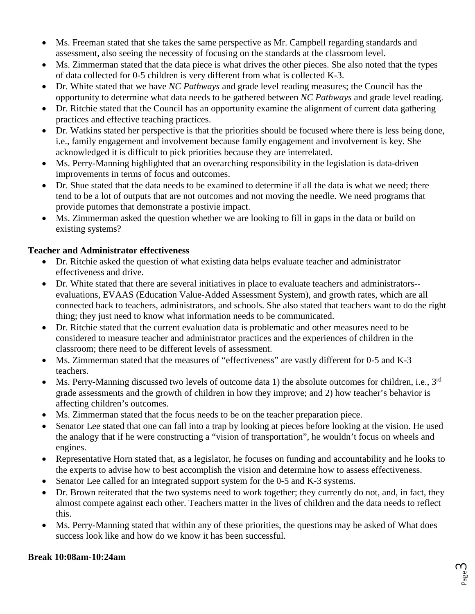- Ms. Freeman stated that she takes the same perspective as Mr. Campbell regarding standards and assessment, also seeing the necessity of focusing on the standards at the classroom level.
- Ms. Zimmerman stated that the data piece is what drives the other pieces. She also noted that the types of data collected for 0-5 children is very different from what is collected K-3.
- Dr. White stated that we have *NC Pathways* and grade level reading measures; the Council has the opportunity to determine what data needs to be gathered between *NC Pathways* and grade level reading.
- Dr. Ritchie stated that the Council has an opportunity examine the alignment of current data gathering practices and effective teaching practices.
- Dr. Watkins stated her perspective is that the priorities should be focused where there is less being done, i.e., family engagement and involvement because family engagement and involvement is key. She acknowledged it is difficult to pick priorities because they are interrelated.
- Ms. Perry-Manning highlighted that an overarching responsibility in the legislation is data-driven improvements in terms of focus and outcomes.
- Dr. Shue stated that the data needs to be examined to determine if all the data is what we need; there tend to be a lot of outputs that are not outcomes and not moving the needle. We need programs that provide putomes that demonstrate a postivie impact.
- Ms. Zimmerman asked the question whether we are looking to fill in gaps in the data or build on existing systems?

#### **Teacher and Administrator effectiveness**

- Dr. Ritchie asked the question of what existing data helps evaluate teacher and administrator effectiveness and drive.
- Dr. White stated that there are several initiatives in place to evaluate teachers and administrators- evaluations, EVAAS (Education Value-Added Assessment System), and growth rates, which are all connected back to teachers, administrators, and schools. She also stated that teachers want to do the right thing; they just need to know what information needs to be communicated.
- Dr. Ritchie stated that the current evaluation data is problematic and other measures need to be considered to measure teacher and administrator practices and the experiences of children in the classroom; there need to be different levels of assessment.
- Ms. Zimmerman stated that the measures of "effectiveness" are vastly different for 0-5 and K-3 teachers.
- Ms. Perry-Manning discussed two levels of outcome data 1) the absolute outcomes for children, i.e.,  $3^{rd}$ grade assessments and the growth of children in how they improve; and 2) how teacher's behavior is affecting children's outcomes.
- Ms. Zimmerman stated that the focus needs to be on the teacher preparation piece.
- Senator Lee stated that one can fall into a trap by looking at pieces before looking at the vision. He used the analogy that if he were constructing a "vision of transportation", he wouldn't focus on wheels and engines.
- Representative Horn stated that, as a legislator, he focuses on funding and accountability and he looks to the experts to advise how to best accomplish the vision and determine how to assess effectiveness.
- Senator Lee called for an integrated support system for the 0-5 and K-3 systems.
- Dr. Brown reiterated that the two systems need to work together; they currently do not, and, in fact, they almost compete against each other. Teachers matter in the lives of children and the data needs to reflect this.
- Ms. Perry-Manning stated that within any of these priorities, the questions may be asked of What does success look like and how do we know it has been successful.

#### **Break 10:08am-10:24am**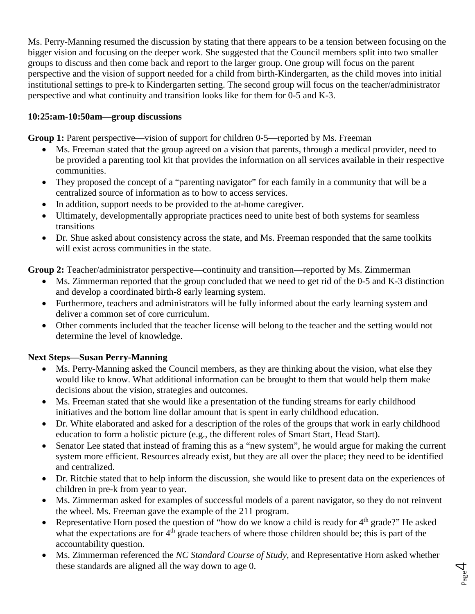Ms. Perry-Manning resumed the discussion by stating that there appears to be a tension between focusing on the bigger vision and focusing on the deeper work. She suggested that the Council members split into two smaller groups to discuss and then come back and report to the larger group. One group will focus on the parent perspective and the vision of support needed for a child from birth-Kindergarten, as the child moves into initial institutional settings to pre-k to Kindergarten setting. The second group will focus on the teacher/administrator perspective and what continuity and transition looks like for them for 0-5 and K-3.

#### **10:25:am-10:50am—group discussions**

**Group 1:** Parent perspective—vision of support for children 0-5—reported by Ms. Freeman

- Ms. Freeman stated that the group agreed on a vision that parents, through a medical provider, need to be provided a parenting tool kit that provides the information on all services available in their respective communities.
- They proposed the concept of a "parenting navigator" for each family in a community that will be a centralized source of information as to how to access services.
- In addition, support needs to be provided to the at-home caregiver.
- Ultimately, developmentally appropriate practices need to unite best of both systems for seamless transitions
- Dr. Shue asked about consistency across the state, and Ms. Freeman responded that the same toolkits will exist across communities in the state.

**Group 2:** Teacher/administrator perspective—continuity and transition—reported by Ms. Zimmerman

- Ms. Zimmerman reported that the group concluded that we need to get rid of the 0-5 and K-3 distinction and develop a coordinated birth-8 early learning system.
- Furthermore, teachers and administrators will be fully informed about the early learning system and deliver a common set of core curriculum.
- Other comments included that the teacher license will belong to the teacher and the setting would not determine the level of knowledge.

#### **Next Steps—Susan Perry-Manning**

- Ms. Perry-Manning asked the Council members, as they are thinking about the vision, what else they would like to know. What additional information can be brought to them that would help them make decisions about the vision, strategies and outcomes.
- Ms. Freeman stated that she would like a presentation of the funding streams for early childhood initiatives and the bottom line dollar amount that is spent in early childhood education.
- Dr. White elaborated and asked for a description of the roles of the groups that work in early childhood education to form a holistic picture (e.g., the different roles of Smart Start, Head Start).
- Senator Lee stated that instead of framing this as a "new system", he would argue for making the current system more efficient. Resources already exist, but they are all over the place; they need to be identified and centralized.
- Dr. Ritchie stated that to help inform the discussion, she would like to present data on the experiences of children in pre-k from year to year.
- Ms. Zimmerman asked for examples of successful models of a parent navigator, so they do not reinvent the wheel. Ms. Freeman gave the example of the 211 program.
- Representative Horn posed the question of "how do we know a child is ready for  $4<sup>th</sup>$  grade?" He asked what the expectations are for  $4<sup>th</sup>$  grade teachers of where those children should be; this is part of the accountability question.
- Ms. Zimmerman referenced the *NC Standard Course of Study,* and Representative Horn asked whether these standards are aligned all the way down to age 0.